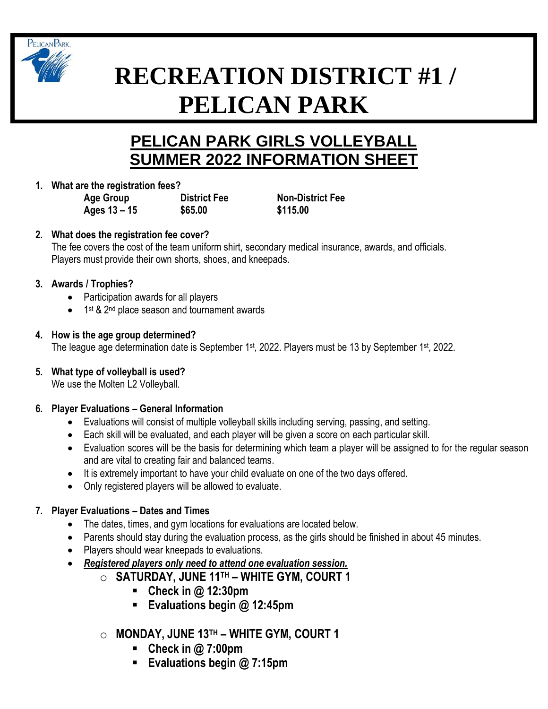

# **RECREATION DISTRICT #1 / PELICAN PARK**

# **PELICAN PARK GIRLS VOLLEYBALL SUMMER 2022 INFORMATION SHEET**

**1. What are the registration fees?**

**Age Group District Fee Non-District Fee Ages 13 – 15 \$65.00 \$115.00**

# **2. What does the registration fee cover?**

The fee covers the cost of the team uniform shirt, secondary medical insurance, awards, and officials. Players must provide their own shorts, shoes, and kneepads.

## **3. Awards / Trophies?**

- Participation awards for all players
- 1<sup>st</sup> & 2<sup>nd</sup> place season and tournament awards

## **4. How is the age group determined?**

The league age determination date is September 1<sup>st</sup>, 2022. Players must be 13 by September 1<sup>st</sup>, 2022.

**5. What type of volleyball is used?**

We use the Molten L2 Volleyball.

# **6. Player Evaluations – General Information**

- Evaluations will consist of multiple volleyball skills including serving, passing, and setting.
- Each skill will be evaluated, and each player will be given a score on each particular skill.
- Evaluation scores will be the basis for determining which team a player will be assigned to for the regular season and are vital to creating fair and balanced teams.
- It is extremely important to have your child evaluate on one of the two days offered.
- Only registered players will be allowed to evaluate.

# **7. Player Evaluations – Dates and Times**

- The dates, times, and gym locations for evaluations are located below.
- Parents should stay during the evaluation process, as the girls should be finished in about 45 minutes.
- Players should wear kneepads to evaluations.
- *Registered players only need to attend one evaluation session.*
	- o **SATURDAY, JUNE 11TH – WHITE GYM, COURT 1**
		- **Check in @ 12:30pm**
		- **Evaluations begin @ 12:45pm**
		- o **MONDAY, JUNE 13TH – WHITE GYM, COURT 1**
			- **Check in @ 7:00pm**
			- **Evaluations begin @ 7:15pm**